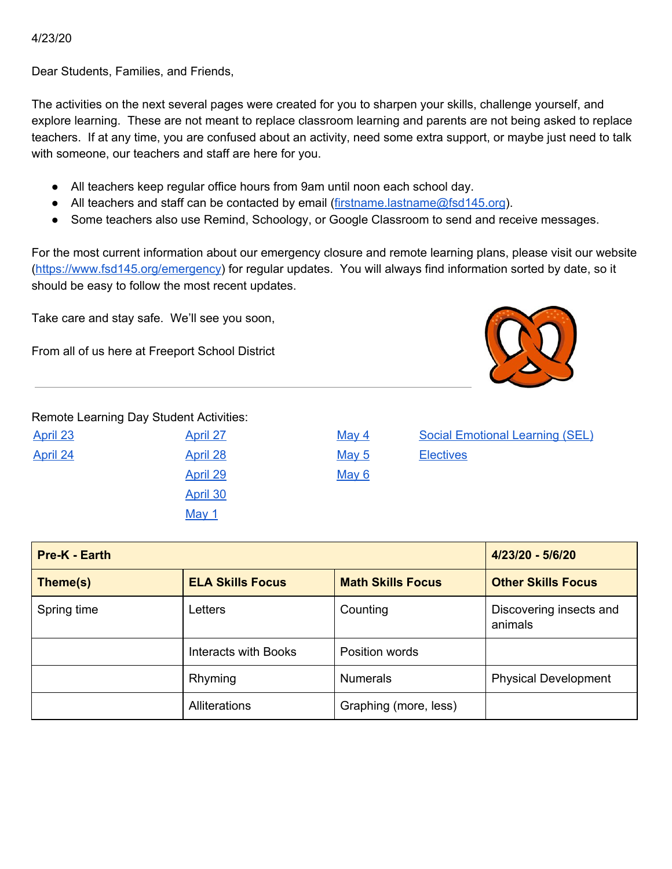#### 4/23/20

Dear Students, Families, and Friends,

The activities on the next several pages were created for you to sharpen your skills, challenge yourself, and explore learning. These are not meant to replace classroom learning and parents are not being asked to replace teachers. If at any time, you are confused about an activity, need some extra support, or maybe just need to talk with someone, our teachers and staff are here for you.

- All teachers keep regular office hours from 9am until noon each school day.
- All teachers and staff can be contacted by email ([firstname.lastname@fsd145.org](mailto:firstname.lastname@fsd145.org)).
- Some teachers also use Remind, Schoology, or Google Classroom to send and receive messages.

For the most current information about our emergency closure and remote learning plans, please visit our website [\(https://www.fsd145.org/emergency\)](https://www.fsd145.org/emergency) for regular updates. You will always find information sorted by date, so it should be easy to follow the most recent updates.

Take care and stay safe. We'll see you soon,

From all of us here at Freeport School District



Remote Learning Day Student Activities:

| <u>April 23</u> |  |
|-----------------|--|
| <u>April 24</u> |  |
|                 |  |
|                 |  |
|                 |  |

[April](#page-4-0) 28 [May](#page-9-0) 5 [Electives](#page-13-0) [April](#page-5-0) 29 [May](#page-10-0) 6 [April](#page-6-0) 30 [May](#page-7-0) 1

[April](#page-3-0) 27 [May](#page-8-0) 4 May 4 Social [Emotional](#page-11-0) Learning (SEL)

| Pre-K - Earth                       | 4/23/20 - 5/6/20     |                          |                                    |
|-------------------------------------|----------------------|--------------------------|------------------------------------|
| <b>ELA Skills Focus</b><br>Theme(s) |                      | <b>Math Skills Focus</b> | <b>Other Skills Focus</b>          |
| Spring time                         | Letters              | Counting                 | Discovering insects and<br>animals |
|                                     | Interacts with Books | Position words           |                                    |
|                                     | Rhyming              | <b>Numerals</b>          | <b>Physical Development</b>        |
|                                     | Alliterations        | Graphing (more, less)    |                                    |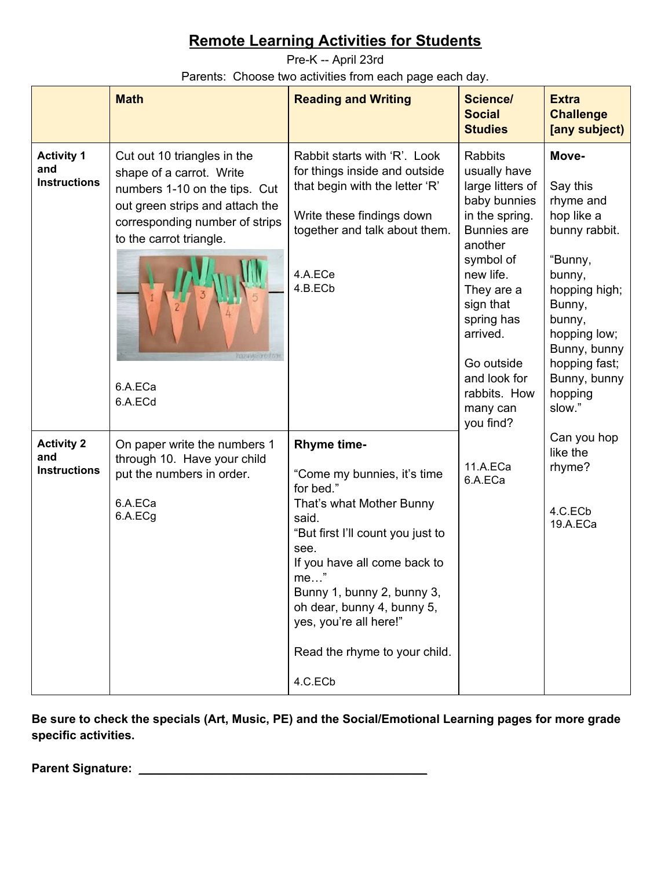<span id="page-1-0"></span>Pre-K -- April 23rd Parents: Choose two activities from each page each day.

|                                                 | <b>Math</b>                                                                                                                                                                                                                          | <b>Reading and Writing</b>                                                                                                                                                                                                                                                                                               | Science/<br><b>Social</b><br><b>Studies</b>                                                                                                                                                                                                                          | <b>Extra</b><br><b>Challenge</b><br>[any subject)                                                                                                                                                             |
|-------------------------------------------------|--------------------------------------------------------------------------------------------------------------------------------------------------------------------------------------------------------------------------------------|--------------------------------------------------------------------------------------------------------------------------------------------------------------------------------------------------------------------------------------------------------------------------------------------------------------------------|----------------------------------------------------------------------------------------------------------------------------------------------------------------------------------------------------------------------------------------------------------------------|---------------------------------------------------------------------------------------------------------------------------------------------------------------------------------------------------------------|
| <b>Activity 1</b><br>and<br><b>Instructions</b> | Cut out 10 triangles in the<br>shape of a carrot. Write<br>numbers 1-10 on the tips. Cut<br>out green strips and attach the<br>corresponding number of strips<br>to the carrot triangle.<br><b>PROSPISHTES</b><br>6.A.ECa<br>6.A.ECd | Rabbit starts with 'R'. Look<br>for things inside and outside<br>that begin with the letter 'R'<br>Write these findings down<br>together and talk about them.<br>4.A.ECe<br>4.B.ECb                                                                                                                                      | Rabbits<br>usually have<br>large litters of<br>baby bunnies<br>in the spring.<br><b>Bunnies</b> are<br>another<br>symbol of<br>new life.<br>They are a<br>sign that<br>spring has<br>arrived.<br>Go outside<br>and look for<br>rabbits. How<br>many can<br>you find? | Move-<br>Say this<br>rhyme and<br>hop like a<br>bunny rabbit.<br>"Bunny,<br>bunny,<br>hopping high;<br>Bunny,<br>bunny,<br>hopping low;<br>Bunny, bunny<br>hopping fast;<br>Bunny, bunny<br>hopping<br>slow." |
| <b>Activity 2</b><br>and<br><b>Instructions</b> | On paper write the numbers 1<br>through 10. Have your child<br>put the numbers in order.<br>6.A.ECa<br>6.A.ECg                                                                                                                       | <b>Rhyme time-</b><br>"Come my bunnies, it's time<br>for bed."<br>That's what Mother Bunny<br>said.<br>"But first I'll count you just to<br>see.<br>If you have all come back to<br>me<br>Bunny 1, bunny 2, bunny 3,<br>oh dear, bunny 4, bunny 5,<br>yes, you're all here!"<br>Read the rhyme to your child.<br>4.C.ECb | 11.A.ECa<br>6.A.ECa                                                                                                                                                                                                                                                  | Can you hop<br>like the<br>rhyme?<br>4.C.ECb<br>19.A.ECa                                                                                                                                                      |

**Be sure to check the specials (Art, Music, PE) and the Social/Emotional Learning pages for more grade specific activities.**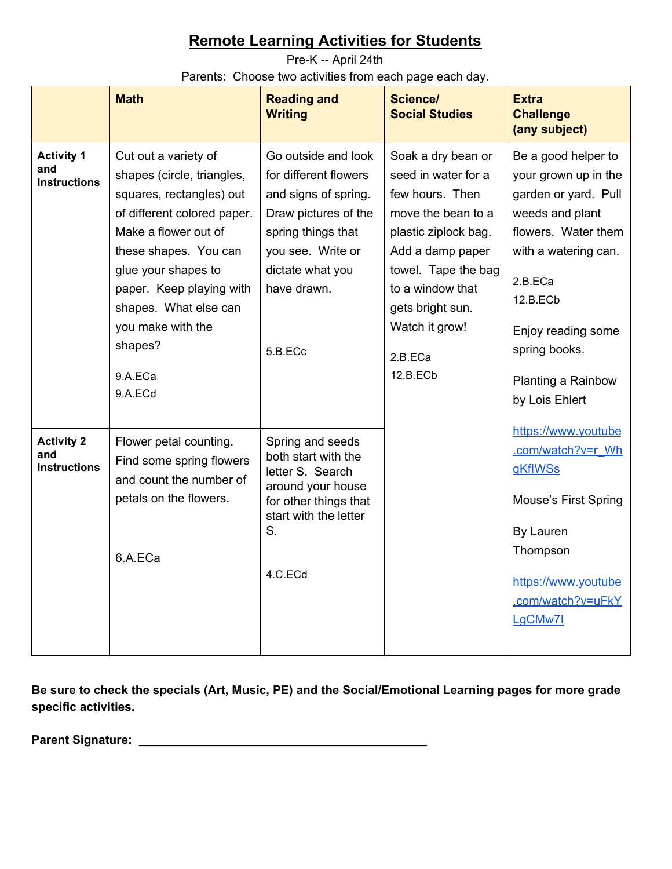<span id="page-2-0"></span>Pre-K -- April 24th Parents: Choose two activities from each page each day.

|                                                 | <b>Math</b>                                                                                                                                                                                                                                                                                      | <b>Reading and</b><br><b>Writing</b>                                                                                                                                                  | Science/<br><b>Social Studies</b>                                                                                                                                                                                                      | <b>Extra</b><br><b>Challenge</b><br>(any subject)                                                                                                                                                                                           |
|-------------------------------------------------|--------------------------------------------------------------------------------------------------------------------------------------------------------------------------------------------------------------------------------------------------------------------------------------------------|---------------------------------------------------------------------------------------------------------------------------------------------------------------------------------------|----------------------------------------------------------------------------------------------------------------------------------------------------------------------------------------------------------------------------------------|---------------------------------------------------------------------------------------------------------------------------------------------------------------------------------------------------------------------------------------------|
| <b>Activity 1</b><br>and<br><b>Instructions</b> | Cut out a variety of<br>shapes (circle, triangles,<br>squares, rectangles) out<br>of different colored paper.<br>Make a flower out of<br>these shapes. You can<br>glue your shapes to<br>paper. Keep playing with<br>shapes. What else can<br>you make with the<br>shapes?<br>9.A.ECa<br>9.A.ECd | Go outside and look<br>for different flowers<br>and signs of spring.<br>Draw pictures of the<br>spring things that<br>you see. Write or<br>dictate what you<br>have drawn.<br>5.B.ECc | Soak a dry bean or<br>seed in water for a<br>few hours. Then<br>move the bean to a<br>plastic ziplock bag.<br>Add a damp paper<br>towel. Tape the bag<br>to a window that<br>gets bright sun.<br>Watch it grow!<br>2.B.ECa<br>12.B.ECb | Be a good helper to<br>your grown up in the<br>garden or yard. Pull<br>weeds and plant<br>flowers. Water them<br>with a watering can.<br>2.B.ECa<br>12.B.ECb<br>Enjoy reading some<br>spring books.<br>Planting a Rainbow<br>by Lois Ehlert |
| <b>Activity 2</b><br>and<br><b>Instructions</b> | Flower petal counting.<br>Find some spring flowers<br>and count the number of<br>petals on the flowers.<br>6.A.ECa                                                                                                                                                                               | Spring and seeds<br>both start with the<br>letter S. Search<br>around your house<br>for other things that<br>start with the letter<br>S.<br>4.C.ECd                                   |                                                                                                                                                                                                                                        | https://www.youtube<br>.com/watch?v=r Wh<br>gKflWSs<br><b>Mouse's First Spring</b><br>By Lauren<br>Thompson<br>https://www.youtube<br>.com/watch?v=uFkY<br>LgCMw7I                                                                          |

**Be sure to check the specials (Art, Music, PE) and the Social/Emotional Learning pages for more grade specific activities.**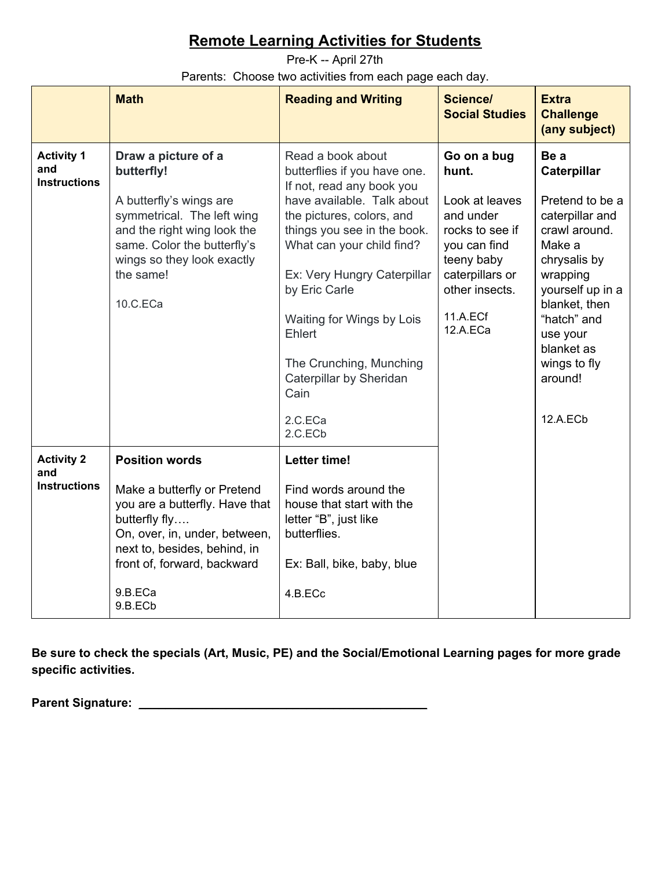<span id="page-3-0"></span>Pre-K -- April 27th Parents: Choose two activities from each page each day.

|                                                 | <b>Math</b>                                                                                                                                                                                                                   | <b>Reading and Writing</b>                                                                                                                                                                                                                                                                                                                                                       | <b>Science/</b><br><b>Social Studies</b>                                                                                                                          | <b>Extra</b><br><b>Challenge</b><br>(any subject)                                                                                                                                                                                     |
|-------------------------------------------------|-------------------------------------------------------------------------------------------------------------------------------------------------------------------------------------------------------------------------------|----------------------------------------------------------------------------------------------------------------------------------------------------------------------------------------------------------------------------------------------------------------------------------------------------------------------------------------------------------------------------------|-------------------------------------------------------------------------------------------------------------------------------------------------------------------|---------------------------------------------------------------------------------------------------------------------------------------------------------------------------------------------------------------------------------------|
| <b>Activity 1</b><br>and<br><b>Instructions</b> | Draw a picture of a<br>butterfly!<br>A butterfly's wings are<br>symmetrical. The left wing<br>and the right wing look the<br>same. Color the butterfly's<br>wings so they look exactly<br>the same!<br>10.C.ECa               | Read a book about<br>butterflies if you have one.<br>If not, read any book you<br>have available. Talk about<br>the pictures, colors, and<br>things you see in the book.<br>What can your child find?<br>Ex: Very Hungry Caterpillar<br>by Eric Carle<br>Waiting for Wings by Lois<br>Ehlert<br>The Crunching, Munching<br>Caterpillar by Sheridan<br>Cain<br>2.C.ECa<br>2.C.ECb | Go on a bug<br>hunt.<br>Look at leaves<br>and under<br>rocks to see if<br>you can find<br>teeny baby<br>caterpillars or<br>other insects.<br>11.A.ECf<br>12.A.ECa | Be a<br>Caterpillar<br>Pretend to be a<br>caterpillar and<br>crawl around.<br>Make a<br>chrysalis by<br>wrapping<br>yourself up in a<br>blanket, then<br>"hatch" and<br>use your<br>blanket as<br>wings to fly<br>around!<br>12.A.ECb |
| <b>Activity 2</b><br>and<br><b>Instructions</b> | <b>Position words</b><br>Make a butterfly or Pretend<br>you are a butterfly. Have that<br>butterfly fly<br>On, over, in, under, between,<br>next to, besides, behind, in<br>front of, forward, backward<br>9.B.ECa<br>9.B.ECb | <b>Letter time!</b><br>Find words around the<br>house that start with the<br>letter "B", just like<br>butterflies.<br>Ex: Ball, bike, baby, blue<br>4.B.ECc                                                                                                                                                                                                                      |                                                                                                                                                                   |                                                                                                                                                                                                                                       |

**Be sure to check the specials (Art, Music, PE) and the Social/Emotional Learning pages for more grade specific activities.**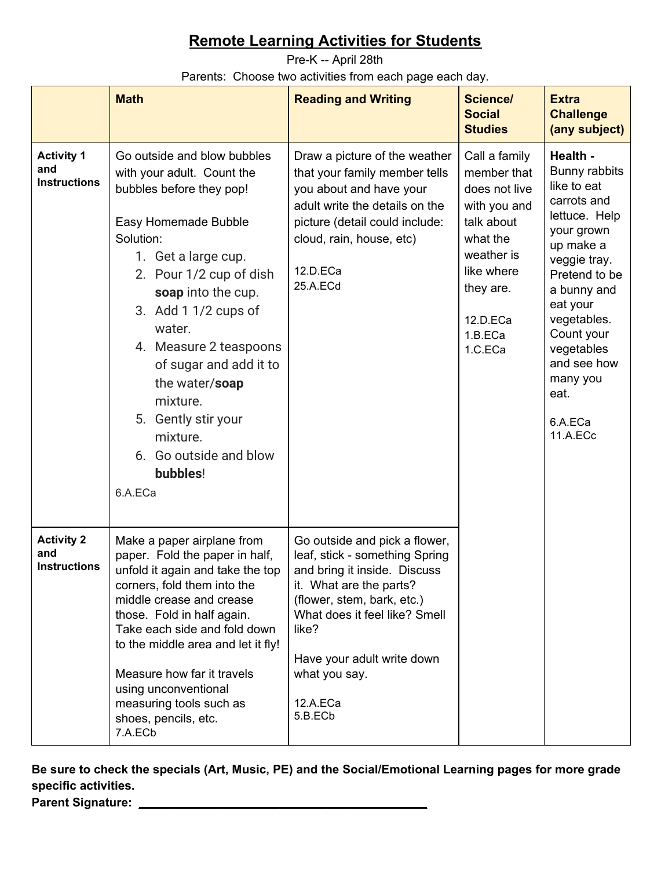<span id="page-4-0"></span>Pre-K -- April 28th

Parents: Choose two activities from each page each day.

|                                                 | <b>Math</b>                                                                                                                                                                                                                                                                                                                                                                                                 | <b>Reading and Writing</b>                                                                                                                                                                                                                                               | <b>Science/</b><br><b>Social</b><br><b>Studies</b>                                                                                                                 | <b>Extra</b><br><b>Challenge</b><br>(any subject)                                                                                                                                                                                                                    |
|-------------------------------------------------|-------------------------------------------------------------------------------------------------------------------------------------------------------------------------------------------------------------------------------------------------------------------------------------------------------------------------------------------------------------------------------------------------------------|--------------------------------------------------------------------------------------------------------------------------------------------------------------------------------------------------------------------------------------------------------------------------|--------------------------------------------------------------------------------------------------------------------------------------------------------------------|----------------------------------------------------------------------------------------------------------------------------------------------------------------------------------------------------------------------------------------------------------------------|
| <b>Activity 1</b><br>and<br><b>Instructions</b> | Go outside and blow bubbles<br>with your adult. Count the<br>bubbles before they pop!<br>Easy Homemade Bubble<br>Solution:<br>1. Get a large cup.<br>2. Pour 1/2 cup of dish<br>soap into the cup.<br>3. Add $11/2$ cups of<br>water.<br>4. Measure 2 teaspoons<br>of sugar and add it to<br>the water/soap<br>mixture.<br>5. Gently stir your<br>mixture.<br>6. Go outside and blow<br>bubbles!<br>6.A.ECa | Draw a picture of the weather<br>that your family member tells<br>you about and have your<br>adult write the details on the<br>picture (detail could include:<br>cloud, rain, house, etc)<br>12.D.ECa<br>25.A.ECd                                                        | Call a family<br>member that<br>does not live<br>with you and<br>talk about<br>what the<br>weather is<br>like where<br>they are.<br>12.D.ECa<br>1.B.ECa<br>1.C.ECa | Health -<br>Bunny rabbits<br>like to eat<br>carrots and<br>lettuce. Help<br>your grown<br>up make a<br>veggie tray.<br>Pretend to be<br>a bunny and<br>eat your<br>vegetables.<br>Count your<br>vegetables<br>and see how<br>many you<br>eat.<br>6.A.ECa<br>11.A.ECc |
| <b>Activity 2</b><br>and<br><b>Instructions</b> | Make a paper airplane from<br>paper. Fold the paper in half,<br>unfold it again and take the top<br>corners, fold them into the<br>middle crease and crease<br>those. Fold in half again.<br>Take each side and fold down<br>to the middle area and let it fly!<br>Measure how far it travels<br>using unconventional<br>measuring tools such as<br>shoes, pencils, etc.<br>7.A.ECb                         | Go outside and pick a flower,<br>leaf, stick - something Spring<br>and bring it inside. Discuss<br>it. What are the parts?<br>(flower, stem, bark, etc.)<br>What does it feel like? Smell<br>like?<br>Have your adult write down<br>what you say.<br>12.A.ECa<br>5.B.ECb |                                                                                                                                                                    |                                                                                                                                                                                                                                                                      |

**Be sure to check the specials (Art, Music, PE) and the Social/Emotional Learning pages for more grade specific activities. Parent Signature:** \_\_\_\_\_\_\_\_\_\_\_\_\_\_\_\_\_\_\_\_\_\_\_\_\_\_\_\_\_\_\_\_\_\_\_\_\_\_\_\_\_\_\_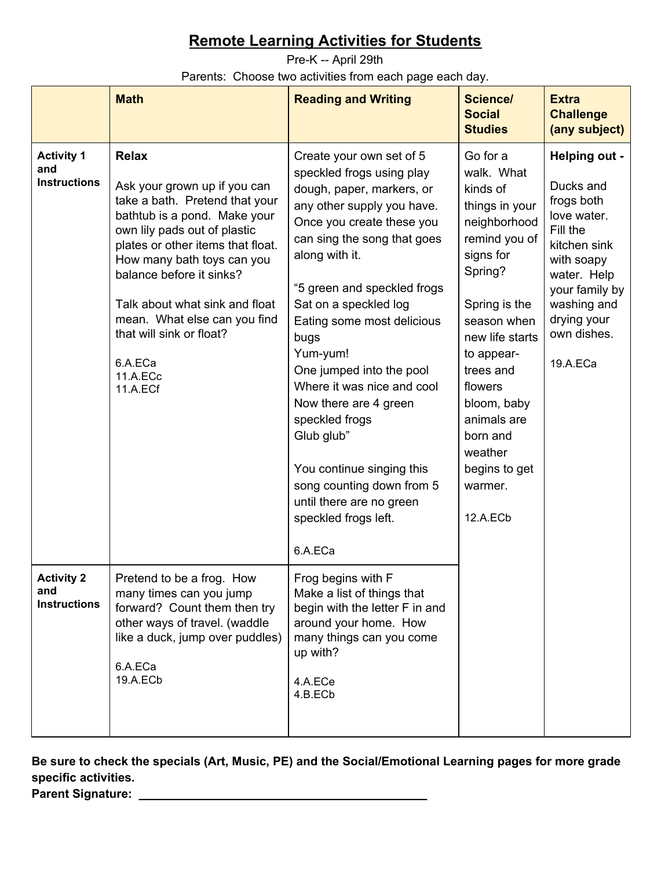<span id="page-5-0"></span>Pre-K -- April 29th Parents: Choose two activities from each page each day.

|                                                 | <b>Math</b>                                                                                                                                                                                                                                                                                                                                                                    | <b>Reading and Writing</b>                                                                                                                                                                                                                                                                                                                                                                                                                                                                                                                           | Science/<br><b>Social</b><br><b>Studies</b>                                                                                                                                                                                                                                                         | <b>Extra</b><br><b>Challenge</b><br>(any subject)                                                                                                                                           |
|-------------------------------------------------|--------------------------------------------------------------------------------------------------------------------------------------------------------------------------------------------------------------------------------------------------------------------------------------------------------------------------------------------------------------------------------|------------------------------------------------------------------------------------------------------------------------------------------------------------------------------------------------------------------------------------------------------------------------------------------------------------------------------------------------------------------------------------------------------------------------------------------------------------------------------------------------------------------------------------------------------|-----------------------------------------------------------------------------------------------------------------------------------------------------------------------------------------------------------------------------------------------------------------------------------------------------|---------------------------------------------------------------------------------------------------------------------------------------------------------------------------------------------|
| <b>Activity 1</b><br>and<br><b>Instructions</b> | <b>Relax</b><br>Ask your grown up if you can<br>take a bath. Pretend that your<br>bathtub is a pond. Make your<br>own lily pads out of plastic<br>plates or other items that float.<br>How many bath toys can you<br>balance before it sinks?<br>Talk about what sink and float<br>mean. What else can you find<br>that will sink or float?<br>6.A.ECa<br>11.A.ECc<br>11.A.ECf | Create your own set of 5<br>speckled frogs using play<br>dough, paper, markers, or<br>any other supply you have.<br>Once you create these you<br>can sing the song that goes<br>along with it.<br>"5 green and speckled frogs<br>Sat on a speckled log<br>Eating some most delicious<br>bugs<br>Yum-yum!<br>One jumped into the pool<br>Where it was nice and cool<br>Now there are 4 green<br>speckled frogs<br>Glub glub"<br>You continue singing this<br>song counting down from 5<br>until there are no green<br>speckled frogs left.<br>6.A.ECa | Go for a<br>walk. What<br>kinds of<br>things in your<br>neighborhood<br>remind you of<br>signs for<br>Spring?<br>Spring is the<br>season when<br>new life starts<br>to appear-<br>trees and<br>flowers<br>bloom, baby<br>animals are<br>born and<br>weather<br>begins to get<br>warmer.<br>12.A.ECb | Helping out -<br>Ducks and<br>frogs both<br>love water.<br>Fill the<br>kitchen sink<br>with soapy<br>water. Help<br>your family by<br>washing and<br>drying your<br>own dishes.<br>19.A.ECa |
| <b>Activity 2</b><br>and<br><b>Instructions</b> | Pretend to be a frog. How<br>many times can you jump<br>forward? Count them then try<br>other ways of travel. (waddle<br>like a duck, jump over puddles)<br>6.A.ECa<br>19.A.ECb                                                                                                                                                                                                | Frog begins with F<br>Make a list of things that<br>begin with the letter F in and<br>around your home. How<br>many things can you come<br>up with?<br>4.A.ECe<br>4.B.ECb                                                                                                                                                                                                                                                                                                                                                                            |                                                                                                                                                                                                                                                                                                     |                                                                                                                                                                                             |

**Be sure to check the specials (Art, Music, PE) and the Social/Emotional Learning pages for more grade specific activities. Parent Signature:** \_\_\_\_\_\_\_\_\_\_\_\_\_\_\_\_\_\_\_\_\_\_\_\_\_\_\_\_\_\_\_\_\_\_\_\_\_\_\_\_\_\_\_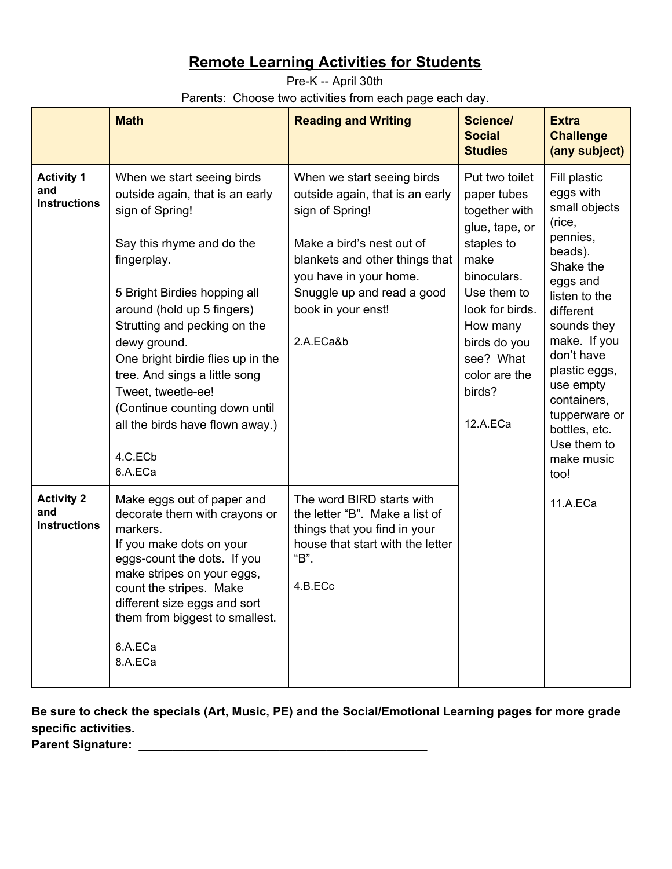<span id="page-6-0"></span>Pre-K -- April 30th Parents: Choose two activities from each page each day.

|                                                 | <b>Math</b>                                                                                                                                                                                                                                                                                                                                                                                                                      | <b>Reading and Writing</b>                                                                                                                                                                                                                 | Science/<br><b>Social</b><br><b>Studies</b>                                                                                                                                                                             | <b>Extra</b><br><b>Challenge</b><br>(any subject)                                                                                                                                                                                                                                                   |
|-------------------------------------------------|----------------------------------------------------------------------------------------------------------------------------------------------------------------------------------------------------------------------------------------------------------------------------------------------------------------------------------------------------------------------------------------------------------------------------------|--------------------------------------------------------------------------------------------------------------------------------------------------------------------------------------------------------------------------------------------|-------------------------------------------------------------------------------------------------------------------------------------------------------------------------------------------------------------------------|-----------------------------------------------------------------------------------------------------------------------------------------------------------------------------------------------------------------------------------------------------------------------------------------------------|
| <b>Activity 1</b><br>and<br><b>Instructions</b> | When we start seeing birds<br>outside again, that is an early<br>sign of Spring!<br>Say this rhyme and do the<br>fingerplay.<br>5 Bright Birdies hopping all<br>around (hold up 5 fingers)<br>Strutting and pecking on the<br>dewy ground.<br>One bright birdie flies up in the<br>tree. And sings a little song<br>Tweet, tweetle-ee!<br>(Continue counting down until<br>all the birds have flown away.)<br>4.C.ECb<br>6.A.ECa | When we start seeing birds<br>outside again, that is an early<br>sign of Spring!<br>Make a bird's nest out of<br>blankets and other things that<br>you have in your home.<br>Snuggle up and read a good<br>book in your enst!<br>2.A.ECa&b | Put two toilet<br>paper tubes<br>together with<br>glue, tape, or<br>staples to<br>make<br>binoculars.<br>Use them to<br>look for birds.<br>How many<br>birds do you<br>see? What<br>color are the<br>birds?<br>12.A.ECa | Fill plastic<br>eggs with<br>small objects<br>(rice,<br>pennies,<br>beads).<br>Shake the<br>eggs and<br>listen to the<br>different<br>sounds they<br>make. If you<br>don't have<br>plastic eggs,<br>use empty<br>containers,<br>tupperware or<br>bottles, etc.<br>Use them to<br>make music<br>too! |
| <b>Activity 2</b><br>and<br><b>Instructions</b> | Make eggs out of paper and<br>decorate them with crayons or<br>markers.<br>If you make dots on your<br>eggs-count the dots. If you<br>make stripes on your eggs,<br>count the stripes. Make<br>different size eggs and sort<br>them from biggest to smallest.<br>6.A.ECa<br>8.A.ECa                                                                                                                                              | The word BIRD starts with<br>the letter "B". Make a list of<br>things that you find in your<br>house that start with the letter<br>"В".<br>4.B.ECc                                                                                         |                                                                                                                                                                                                                         | 11.A.ECa                                                                                                                                                                                                                                                                                            |

**Be sure to check the specials (Art, Music, PE) and the Social/Emotional Learning pages for more grade specific activities.**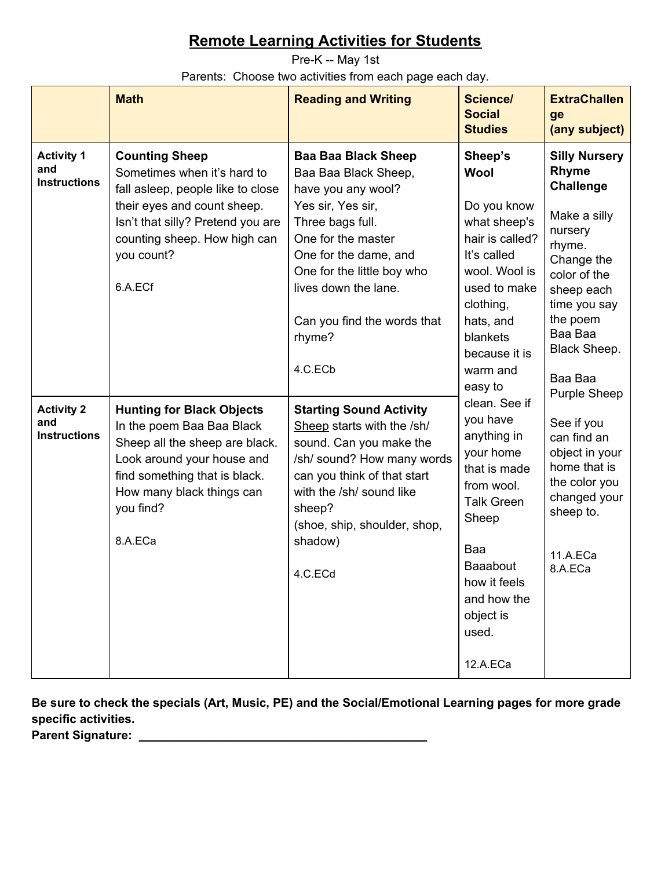<span id="page-7-0"></span>Pre-K -- May 1st Parents: Choose two activities from each page each day.

|                                                 | <b>Math</b>                                                                                                                                                                                                            | <b>Reading and Writing</b>                                                                                                                                                                                                                                                 | <b>Science/</b><br><b>Social</b><br><b>Studies</b>                                                                                                                                                    | <b>ExtraChallen</b><br>ge<br>(any subject)                                                                                                              |         |                                                                                                                                                                                                      |
|-------------------------------------------------|------------------------------------------------------------------------------------------------------------------------------------------------------------------------------------------------------------------------|----------------------------------------------------------------------------------------------------------------------------------------------------------------------------------------------------------------------------------------------------------------------------|-------------------------------------------------------------------------------------------------------------------------------------------------------------------------------------------------------|---------------------------------------------------------------------------------------------------------------------------------------------------------|---------|------------------------------------------------------------------------------------------------------------------------------------------------------------------------------------------------------|
| <b>Activity 1</b><br>and<br><b>Instructions</b> | <b>Counting Sheep</b><br>Sometimes when it's hard to<br>fall asleep, people like to close<br>their eyes and count sheep.<br>Isn't that silly? Pretend you are<br>counting sheep. How high can<br>you count?<br>6.A.ECf | <b>Baa Baa Black Sheep</b><br>Baa Baa Black Sheep,<br>have you any wool?<br>Yes sir, Yes sir,<br>Three bags full.<br>One for the master<br>One for the dame, and<br>One for the little boy who<br>lives down the lane.<br>Can you find the words that<br>rhyme?<br>4.C.ECb | Sheep's<br><b>Wool</b><br>Do you know<br>what sheep's<br>hair is called?<br>It's called<br>wool. Wool is<br>used to make<br>clothing,<br>hats, and<br>blankets<br>because it is<br>warm and           |                                                                                                                                                         | easy to | <b>Silly Nursery</b><br>Rhyme<br><b>Challenge</b><br>Make a silly<br>nursery<br>rhyme.<br>Change the<br>color of the<br>sheep each<br>time you say<br>the poem<br>Baa Baa<br>Black Sheep.<br>Baa Baa |
| <b>Activity 2</b><br>and<br><b>Instructions</b> | <b>Hunting for Black Objects</b><br>In the poem Baa Baa Black<br>Sheep all the sheep are black.<br>Look around your house and<br>find something that is black.<br>How many black things can<br>you find?<br>8.A.ECa    | <b>Starting Sound Activity</b><br>Sheep starts with the /sh/<br>sound. Can you make the<br>/sh/ sound? How many words<br>can you think of that start<br>with the /sh/ sound like<br>sheep?<br>(shoe, ship, shoulder, shop,<br>shadow)<br>4.C.ECd                           | clean. See if<br>you have<br>anything in<br>your home<br>that is made<br>from wool.<br><b>Talk Green</b><br>Sheep<br>Baa<br>Baaabout<br>how it feels<br>and how the<br>object is<br>used.<br>12.A.ECa | <b>Purple Sheep</b><br>See if you<br>can find an<br>object in your<br>home that is<br>the color you<br>changed your<br>sheep to.<br>11.A.ECa<br>8.A.ECa |         |                                                                                                                                                                                                      |

**Be sure to check the specials (Art, Music, PE) and the Social/Emotional Learning pages for more grade specific activities. Parent Signature:** \_\_\_\_\_\_\_\_\_\_\_\_\_\_\_\_\_\_\_\_\_\_\_\_\_\_\_\_\_\_\_\_\_\_\_\_\_\_\_\_\_\_\_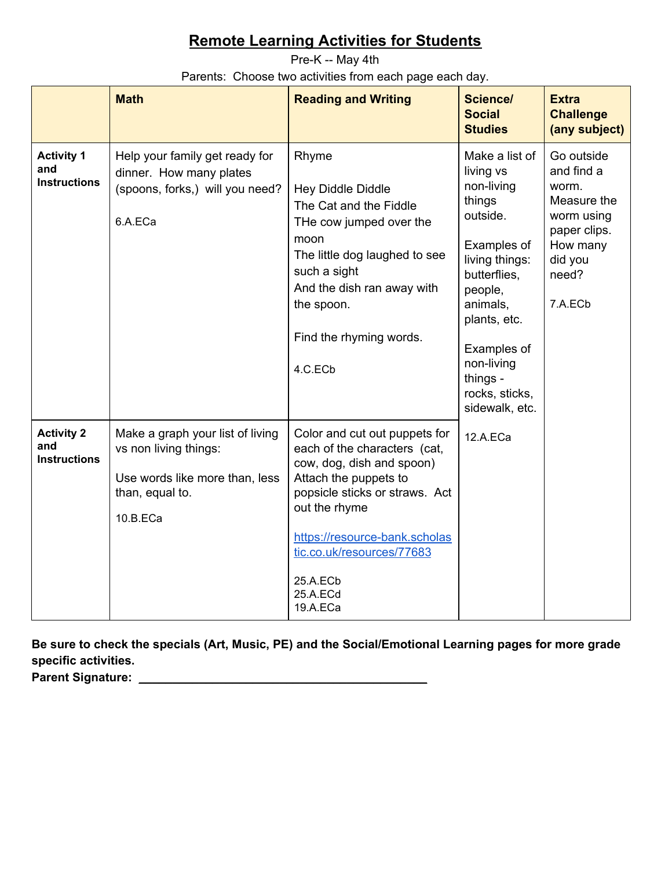<span id="page-8-0"></span>Pre-K -- May 4th Parents: Choose two activities from each page each day.

|                                                 | <b>Math</b>                                                                                                                | <b>Reading and Writing</b>                                                                                                                                                                                                                                               | Science/<br><b>Social</b><br><b>Studies</b>                                                                                                                                                                                          | <b>Extra</b><br><b>Challenge</b><br>(any subject)                                                                         |
|-------------------------------------------------|----------------------------------------------------------------------------------------------------------------------------|--------------------------------------------------------------------------------------------------------------------------------------------------------------------------------------------------------------------------------------------------------------------------|--------------------------------------------------------------------------------------------------------------------------------------------------------------------------------------------------------------------------------------|---------------------------------------------------------------------------------------------------------------------------|
| <b>Activity 1</b><br>and<br><b>Instructions</b> | Help your family get ready for<br>dinner. How many plates<br>(spoons, forks,) will you need?<br>6.A.ECa                    | Rhyme<br>Hey Diddle Diddle<br>The Cat and the Fiddle<br>THe cow jumped over the<br>moon<br>The little dog laughed to see<br>such a sight<br>And the dish ran away with<br>the spoon.<br>Find the rhyming words.<br>4.C.ECb                                               | Make a list of<br>living vs<br>non-living<br>things<br>outside.<br>Examples of<br>living things:<br>butterflies,<br>people,<br>animals,<br>plants, etc.<br>Examples of<br>non-living<br>things -<br>rocks, sticks,<br>sidewalk, etc. | Go outside<br>and find a<br>worm.<br>Measure the<br>worm using<br>paper clips.<br>How many<br>did you<br>need?<br>7.A.ECb |
| <b>Activity 2</b><br>and<br><b>Instructions</b> | Make a graph your list of living<br>vs non living things:<br>Use words like more than, less<br>than, equal to.<br>10.B.ECa | Color and cut out puppets for<br>each of the characters (cat,<br>cow, dog, dish and spoon)<br>Attach the puppets to<br>popsicle sticks or straws. Act<br>out the rhyme<br>https://resource-bank.scholas<br>tic.co.uk/resources/77683<br>25.A.ECb<br>25.A.ECd<br>19.A.ECa | 12.A.ECa                                                                                                                                                                                                                             |                                                                                                                           |

**Be sure to check the specials (Art, Music, PE) and the Social/Emotional Learning pages for more grade specific activities.**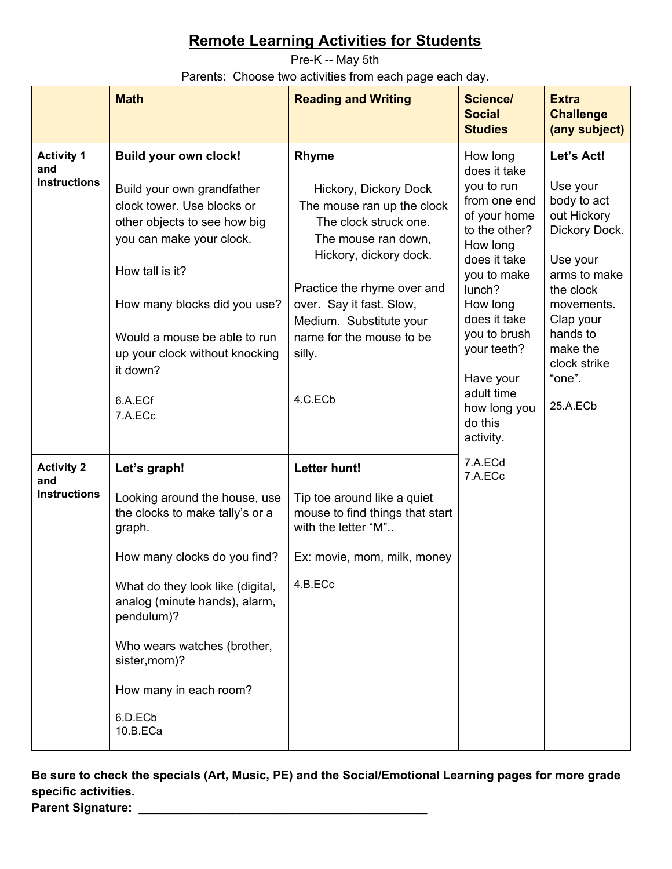<span id="page-9-0"></span>Pre-K -- May 5th Parents: Choose two activities from each page each day.

|                                                 | <b>Math</b>                                                                                                                                                                                                                                                                                                    | <b>Reading and Writing</b>                                                                                                                                                                                                                                                           | Science/<br><b>Social</b><br><b>Studies</b>                                                                                                                                                                                                                                | <b>Extra</b><br><b>Challenge</b><br>(any subject)                                                                                                                                                       |
|-------------------------------------------------|----------------------------------------------------------------------------------------------------------------------------------------------------------------------------------------------------------------------------------------------------------------------------------------------------------------|--------------------------------------------------------------------------------------------------------------------------------------------------------------------------------------------------------------------------------------------------------------------------------------|----------------------------------------------------------------------------------------------------------------------------------------------------------------------------------------------------------------------------------------------------------------------------|---------------------------------------------------------------------------------------------------------------------------------------------------------------------------------------------------------|
| <b>Activity 1</b><br>and<br><b>Instructions</b> | <b>Build your own clock!</b><br>Build your own grandfather<br>clock tower. Use blocks or<br>other objects to see how big<br>you can make your clock.<br>How tall is it?<br>How many blocks did you use?<br>Would a mouse be able to run<br>up your clock without knocking<br>it down?<br>6.A.ECf<br>7.A.ECc    | <b>Rhyme</b><br>Hickory, Dickory Dock<br>The mouse ran up the clock<br>The clock struck one.<br>The mouse ran down,<br>Hickory, dickory dock.<br>Practice the rhyme over and<br>over. Say it fast. Slow,<br>Medium. Substitute your<br>name for the mouse to be<br>silly.<br>4.C.ECb | How long<br>does it take<br>you to run<br>from one end<br>of your home<br>to the other?<br>How long<br>does it take<br>you to make<br>lunch?<br>How long<br>does it take<br>you to brush<br>your teeth?<br>Have your<br>adult time<br>how long you<br>do this<br>activity. | Let's Act!<br>Use your<br>body to act<br>out Hickory<br>Dickory Dock.<br>Use your<br>arms to make<br>the clock<br>movements.<br>Clap your<br>hands to<br>make the<br>clock strike<br>"one".<br>25.A.ECb |
| <b>Activity 2</b><br>and<br><b>Instructions</b> | Let's graph!<br>Looking around the house, use<br>the clocks to make tally's or a<br>graph.<br>How many clocks do you find?<br>What do they look like (digital,<br>analog (minute hands), alarm,<br>pendulum)?<br>Who wears watches (brother,<br>sister, mom)?<br>How many in each room?<br>6.D.ECb<br>10.B.ECa | <b>Letter hunt!</b><br>Tip toe around like a quiet<br>mouse to find things that start<br>with the letter "M"<br>Ex: movie, mom, milk, money<br>4.B.ECc                                                                                                                               | 7.A.ECd<br>7.A.ECc                                                                                                                                                                                                                                                         |                                                                                                                                                                                                         |

**Be sure to check the specials (Art, Music, PE) and the Social/Emotional Learning pages for more grade specific activities.** Parent Signature: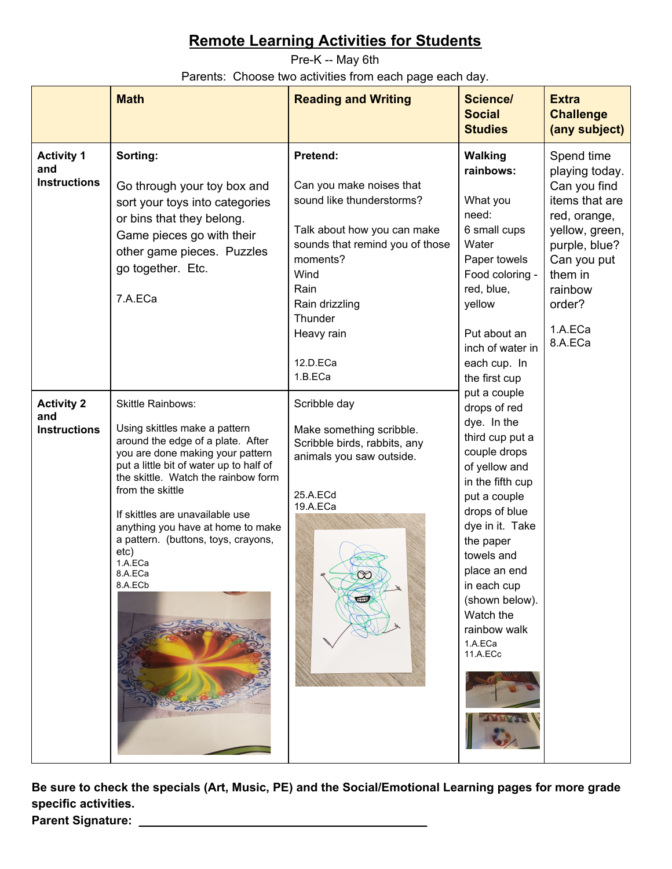<span id="page-10-0"></span>Pre-K -- May 6th Parents: Choose two activities from each page each day.

|                                                 | <b>Math</b>                                                                                                                                                                                                                                                                                                                                                                                      | <b>Reading and Writing</b>                                                                                                                                                                                                        | <b>Science/</b><br><b>Social</b><br><b>Studies</b>                                                                                                                                                                                                                                                      | <b>Extra</b><br><b>Challenge</b><br>(any subject)                                                                                                                                      |
|-------------------------------------------------|--------------------------------------------------------------------------------------------------------------------------------------------------------------------------------------------------------------------------------------------------------------------------------------------------------------------------------------------------------------------------------------------------|-----------------------------------------------------------------------------------------------------------------------------------------------------------------------------------------------------------------------------------|---------------------------------------------------------------------------------------------------------------------------------------------------------------------------------------------------------------------------------------------------------------------------------------------------------|----------------------------------------------------------------------------------------------------------------------------------------------------------------------------------------|
| <b>Activity 1</b><br>and<br><b>Instructions</b> | Sorting:<br>Go through your toy box and<br>sort your toys into categories<br>or bins that they belong.<br>Game pieces go with their<br>other game pieces. Puzzles<br>go together. Etc.<br>7.A.ECa                                                                                                                                                                                                | Pretend:<br>Can you make noises that<br>sound like thunderstorms?<br>Talk about how you can make<br>sounds that remind you of those<br>moments?<br>Wind<br>Rain<br>Rain drizzling<br>Thunder<br>Heavy rain<br>12.D.ECa<br>1.B.ECa | <b>Walking</b><br>rainbows:<br>What you<br>need:<br>6 small cups<br>Water<br>Paper towels<br>Food coloring -<br>red, blue,<br>yellow<br>Put about an<br>inch of water in<br>each cup. In<br>the first cup                                                                                               | Spend time<br>playing today.<br>Can you find<br>items that are<br>red, orange,<br>yellow, green,<br>purple, blue?<br>Can you put<br>them in<br>rainbow<br>order?<br>1.A.ECa<br>8.A.ECa |
| <b>Activity 2</b><br>and<br><b>Instructions</b> | <b>Skittle Rainbows:</b><br>Using skittles make a pattern<br>around the edge of a plate. After<br>you are done making your pattern<br>put a little bit of water up to half of<br>the skittle. Watch the rainbow form<br>from the skittle<br>If skittles are unavailable use<br>anything you have at home to make<br>a pattern. (buttons, toys, crayons,<br>etc)<br>1.A.ECa<br>8.A.ECa<br>8.A.ECb | Scribble day<br>Make something scribble.<br>Scribble birds, rabbits, any<br>animals you saw outside.<br>25.A.ECd<br>19.A.ECa<br>E                                                                                                 | put a couple<br>drops of red<br>dye. In the<br>third cup put a<br>couple drops<br>of yellow and<br>in the fifth cup<br>put a couple<br>drops of blue<br>dye in it. Take<br>the paper<br>towels and<br>place an end<br>in each cup<br>(shown below).<br>Watch the<br>rainbow walk<br>1.A.ECa<br>11.A.ECc |                                                                                                                                                                                        |

**Be sure to check the specials (Art, Music, PE) and the Social/Emotional Learning pages for more grade specific activities.**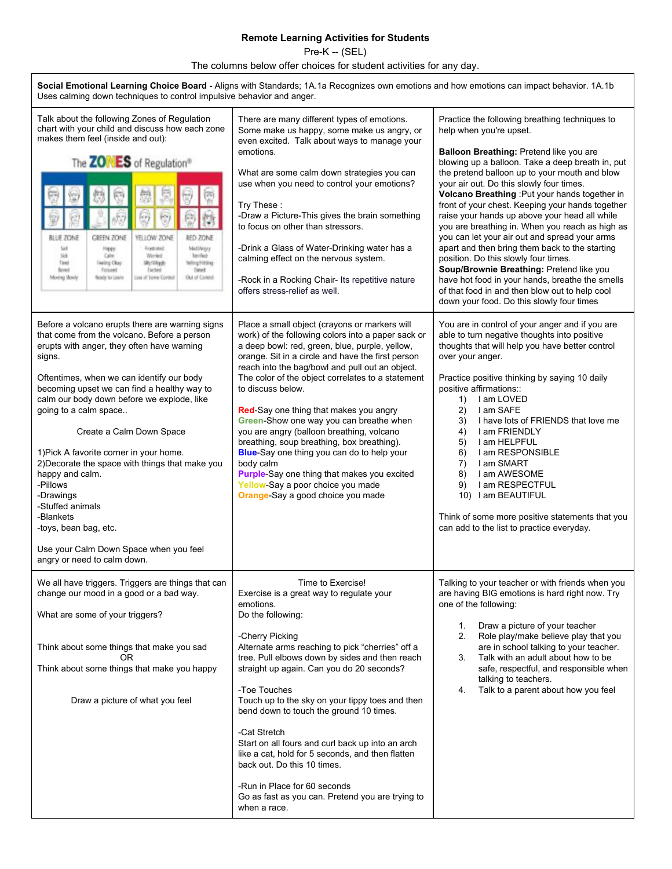<span id="page-11-0"></span>Pre-K -- (SEL)

The columns below offer choices for student activities for any day.

| Social Emotional Learning Choice Board - Aligns with Standards; 1A.1a Recognizes own emotions and how emotions can impact behavior. 1A.1b<br>Uses calming down techniques to control impulsive behavior and anger.                                                                                                                                                                                                                                                                                                                                                                                                                 |                                                                                                                                                                                                                                                                                                                                                                                                                                                                                                                                                                                                                                                                                                             |                                                                                                                                                                                                                                                                                                                                                                                                                                                                                                                                                                                                                                                                                                                                                                                                                          |  |  |
|------------------------------------------------------------------------------------------------------------------------------------------------------------------------------------------------------------------------------------------------------------------------------------------------------------------------------------------------------------------------------------------------------------------------------------------------------------------------------------------------------------------------------------------------------------------------------------------------------------------------------------|-------------------------------------------------------------------------------------------------------------------------------------------------------------------------------------------------------------------------------------------------------------------------------------------------------------------------------------------------------------------------------------------------------------------------------------------------------------------------------------------------------------------------------------------------------------------------------------------------------------------------------------------------------------------------------------------------------------|--------------------------------------------------------------------------------------------------------------------------------------------------------------------------------------------------------------------------------------------------------------------------------------------------------------------------------------------------------------------------------------------------------------------------------------------------------------------------------------------------------------------------------------------------------------------------------------------------------------------------------------------------------------------------------------------------------------------------------------------------------------------------------------------------------------------------|--|--|
| Talk about the following Zones of Regulation<br>chart with your child and discuss how each zone<br>makes them feel (inside and out):<br>The <b>ZONES</b> of Regulation®<br>M<br>9<br><b>BLUE ZONE</b><br>GREEN ZONE<br>YELLOW ZONE<br>RED ZONE<br><b>Traitated</b><br>Sail<br>MattAngry<br>Hispany<br>328<br>Calm<br>Works<br>Terrified<br>Tired<br>Silly/Wilaph<br><b>Ninghiting</b><br>Feeling Okay<br>Timet<br><b>Bored</b><br>Focused<br><b>Detect</b><br>Moring Story<br>Ready to Learn<br>Loss of Some Control<br>Out of Corpor                                                                                              | There are many different types of emotions.<br>Some make us happy, some make us angry, or<br>even excited. Talk about ways to manage your<br>emotions.<br>What are some calm down strategies you can<br>use when you need to control your emotions?<br>Try These:<br>-Draw a Picture-This gives the brain something<br>to focus on other than stressors.<br>-Drink a Glass of Water-Drinking water has a<br>calming effect on the nervous system.<br>-Rock in a Rocking Chair- Its repetitive nature<br>offers stress-relief as well.                                                                                                                                                                       | Practice the following breathing techniques to<br>help when you're upset.<br>Balloon Breathing: Pretend like you are<br>blowing up a balloon. Take a deep breath in, put<br>the pretend balloon up to your mouth and blow<br>your air out. Do this slowly four times.<br>Volcano Breathing : Put your hands together in<br>front of your chest. Keeping your hands together<br>raise your hands up above your head all while<br>you are breathing in. When you reach as high as<br>you can let your air out and spread your arms<br>apart and then bring them back to the starting<br>position. Do this slowly four times.<br>Soup/Brownie Breathing: Pretend like you<br>have hot food in your hands, breathe the smells<br>of that food in and then blow out to help cool<br>down your food. Do this slowly four times |  |  |
| Before a volcano erupts there are warning signs<br>that come from the volcano. Before a person<br>erupts with anger, they often have warning<br>signs.<br>Oftentimes, when we can identify our body<br>becoming upset we can find a healthy way to<br>calm our body down before we explode, like<br>going to a calm space<br>Create a Calm Down Space<br>1) Pick A favorite corner in your home.<br>2) Decorate the space with things that make you<br>happy and calm.<br>-Pillows<br>-Drawings<br>-Stuffed animals<br>-Blankets<br>-toys, bean bag, etc.<br>Use your Calm Down Space when you feel<br>angry or need to calm down. | Place a small object (crayons or markers will<br>work) of the following colors into a paper sack or<br>a deep bowl: red, green, blue, purple, yellow,<br>orange. Sit in a circle and have the first person<br>reach into the bag/bowl and pull out an object.<br>The color of the object correlates to a statement<br>to discuss below.<br>Red-Say one thing that makes you angry<br>Green-Show one way you can breathe when<br>you are angry (balloon breathing, volcano<br>breathing, soup breathing, box breathing).<br>Blue-Say one thing you can do to help your<br>body calm<br>Purple-Say one thing that makes you excited<br>Yellow-Say a poor choice you made<br>Orange-Say a good choice you made | You are in control of your anger and if you are<br>able to turn negative thoughts into positive<br>thoughts that will help you have better control<br>over your anger.<br>Practice positive thinking by saying 10 daily<br>positive affirmations::<br>I am LOVED<br>1)<br>2)<br>I am SAFE<br>I have lots of FRIENDS that love me<br>3)<br>I am FRIENDLY<br>4)<br>I am HELPFUL<br>5)<br>I am RESPONSIBLE<br>6)<br>$\left( 7\right)$<br>I am SMART<br>I am AWESOME<br>8)<br>I am RESPECTFUL<br>9)<br>10) I am BEAUTIFUL<br>Think of some more positive statements that you<br>can add to the list to practice everyday.                                                                                                                                                                                                    |  |  |
| We all have triggers. Triggers are things that can<br>change our mood in a good or a bad way.<br>What are some of your triggers?<br>Think about some things that make you sad<br>OR.<br>Think about some things that make you happy<br>Draw a picture of what you feel                                                                                                                                                                                                                                                                                                                                                             | Time to Exercise!<br>Exercise is a great way to regulate your<br>emotions.<br>Do the following:<br>-Cherry Picking<br>Alternate arms reaching to pick "cherries" off a<br>tree. Pull elbows down by sides and then reach<br>straight up again. Can you do 20 seconds?<br>-Toe Touches<br>Touch up to the sky on your tippy toes and then<br>bend down to touch the ground 10 times.<br>-Cat Stretch<br>Start on all fours and curl back up into an arch<br>like a cat, hold for 5 seconds, and then flatten<br>back out. Do this 10 times.<br>-Run in Place for 60 seconds<br>Go as fast as you can. Pretend you are trying to<br>when a race.                                                              | Talking to your teacher or with friends when you<br>are having BIG emotions is hard right now. Try<br>one of the following:<br>Draw a picture of your teacher<br>1.<br>Role play/make believe play that you<br>2.<br>are in school talking to your teacher.<br>Talk with an adult about how to be<br>3.<br>safe, respectful, and responsible when<br>talking to teachers.<br>Talk to a parent about how you feel<br>4.                                                                                                                                                                                                                                                                                                                                                                                                   |  |  |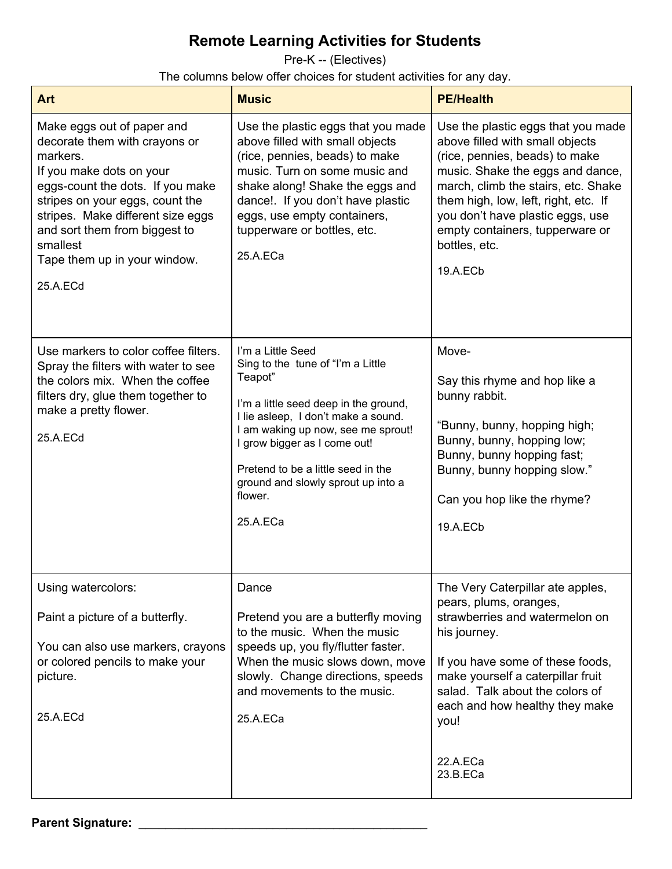<span id="page-13-0"></span>Pre-K -- (Electives)

The columns below offer choices for student activities for any day.

| <b>Art</b>                                                                                                                                                                                                                                                                                               | <b>Music</b>                                                                                                                                                                                                                                                                                                               | <b>PE/Health</b>                                                                                                                                                                                                                                                                                                               |
|----------------------------------------------------------------------------------------------------------------------------------------------------------------------------------------------------------------------------------------------------------------------------------------------------------|----------------------------------------------------------------------------------------------------------------------------------------------------------------------------------------------------------------------------------------------------------------------------------------------------------------------------|--------------------------------------------------------------------------------------------------------------------------------------------------------------------------------------------------------------------------------------------------------------------------------------------------------------------------------|
| Make eggs out of paper and<br>decorate them with crayons or<br>markers.<br>If you make dots on your<br>eggs-count the dots. If you make<br>stripes on your eggs, count the<br>stripes. Make different size eggs<br>and sort them from biggest to<br>smallest<br>Tape them up in your window.<br>25.A.ECd | Use the plastic eggs that you made<br>above filled with small objects<br>(rice, pennies, beads) to make<br>music. Turn on some music and<br>shake along! Shake the eggs and<br>dance! If you don't have plastic<br>eggs, use empty containers,<br>tupperware or bottles, etc.<br>25.A.ECa                                  | Use the plastic eggs that you made<br>above filled with small objects<br>(rice, pennies, beads) to make<br>music. Shake the eggs and dance,<br>march, climb the stairs, etc. Shake<br>them high, low, left, right, etc. If<br>you don't have plastic eggs, use<br>empty containers, tupperware or<br>bottles, etc.<br>19.A.ECb |
| Use markers to color coffee filters.<br>Spray the filters with water to see<br>the colors mix. When the coffee<br>filters dry, glue them together to<br>make a pretty flower.<br>25.A.ECd                                                                                                                | I'm a Little Seed<br>Sing to the tune of "I'm a Little<br>Teapot"<br>I'm a little seed deep in the ground,<br>I lie asleep, I don't make a sound.<br>I am waking up now, see me sprout!<br>I grow bigger as I come out!<br>Pretend to be a little seed in the<br>ground and slowly sprout up into a<br>flower.<br>25.A.ECa | Move-<br>Say this rhyme and hop like a<br>bunny rabbit.<br>"Bunny, bunny, hopping high;<br>Bunny, bunny, hopping low;<br>Bunny, bunny hopping fast;<br>Bunny, bunny hopping slow."<br>Can you hop like the rhyme?<br>19.A.EC <sub>b</sub>                                                                                      |
| Using watercolors:<br>Paint a picture of a butterfly.<br>You can also use markers, crayons<br>or colored pencils to make your<br>picture.<br>25.A.ECd                                                                                                                                                    | Dance<br>Pretend you are a butterfly moving<br>to the music. When the music<br>speeds up, you fly/flutter faster.<br>When the music slows down, move<br>slowly. Change directions, speeds<br>and movements to the music.<br>25.A.ECa                                                                                       | The Very Caterpillar ate apples,<br>pears, plums, oranges,<br>strawberries and watermelon on<br>his journey.<br>If you have some of these foods,<br>make yourself a caterpillar fruit<br>salad. Talk about the colors of<br>each and how healthy they make<br>you!<br>22.A.ECa<br>23.B.ECa                                     |